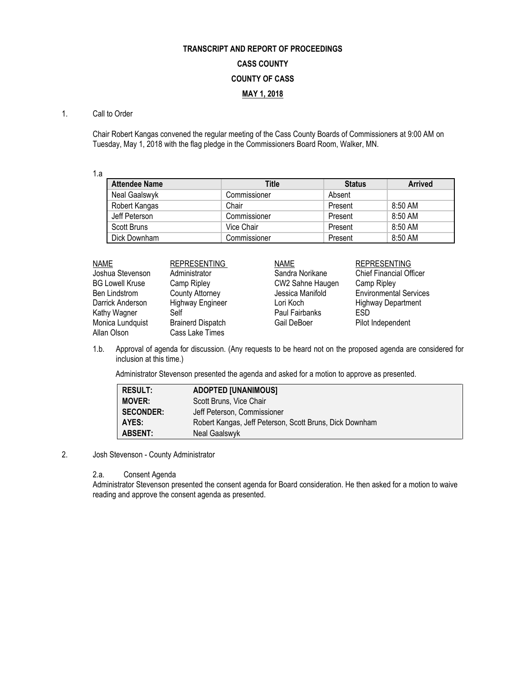# **TRANSCRIPT AND REPORT OF PROCEEDINGS CASS COUNTY COUNTY OF CASS MAY 1, 2018**

#### 1. Call to Order

Chair Robert Kangas convened the regular meeting of the Cass County Boards of Commissioners at 9:00 AM on Tuesday, May 1, 2018 with the flag pledge in the Commissioners Board Room, Walker, MN.

1.a

| <b>Attendee Name</b> | Title        | <b>Status</b> | <b>Arrived</b> |
|----------------------|--------------|---------------|----------------|
| Neal Gaalswyk        | Commissioner | Absent        |                |
| Robert Kangas        | Chair        | Present       | $8:50$ AM      |
| Jeff Peterson        | Commissioner | Present       | 8:50 AM        |
| Scott Bruns          | Vice Chair   | Present       | 8:50 AM        |
| Dick Downham         | Commissioner | Present       | 8:50 AM        |

| <b>NAME</b>            | <b>REPRESENTING</b>      | <b>NAME</b>      | <b>REPRESENTING</b>            |  |
|------------------------|--------------------------|------------------|--------------------------------|--|
| Joshua Stevenson       | Administrator            | Sandra Norikane  | <b>Chief Financial Officer</b> |  |
| <b>BG Lowell Kruse</b> | Camp Ripley              | CW2 Sahne Haugen | Camp Ripley                    |  |
| Ben Lindstrom          | <b>County Attorney</b>   | Jessica Manifold | <b>Environmental Services</b>  |  |
| Darrick Anderson       | <b>Highway Engineer</b>  | Lori Koch        | <b>Highway Department</b>      |  |
| Kathy Wagner           | Self                     | Paul Fairbanks   | <b>FSD</b>                     |  |
| Monica Lundquist       | <b>Brainerd Dispatch</b> | Gail DeBoer      | Pilot Independent              |  |
| Allan Olson            | Cass Lake Times          |                  |                                |  |

1.b. Approval of agenda for discussion. (Any requests to be heard not on the proposed agenda are considered for inclusion at this time.)

Administrator Stevenson presented the agenda and asked for a motion to approve as presented.

| <b>RESULT:</b>   | <b>ADOPTED [UNANIMOUS]</b>                              |
|------------------|---------------------------------------------------------|
| <b>MOVER:</b>    | Scott Bruns, Vice Chair                                 |
| <b>SECONDER:</b> | Jeff Peterson, Commissioner                             |
| AYES:            | Robert Kangas, Jeff Peterson, Scott Bruns, Dick Downham |
| <b>ABSENT:</b>   | Neal Gaalswyk                                           |

## 2. Josh Stevenson - County Administrator

2.a. Consent Agenda

Administrator Stevenson presented the consent agenda for Board consideration. He then asked for a motion to waive reading and approve the consent agenda as presented.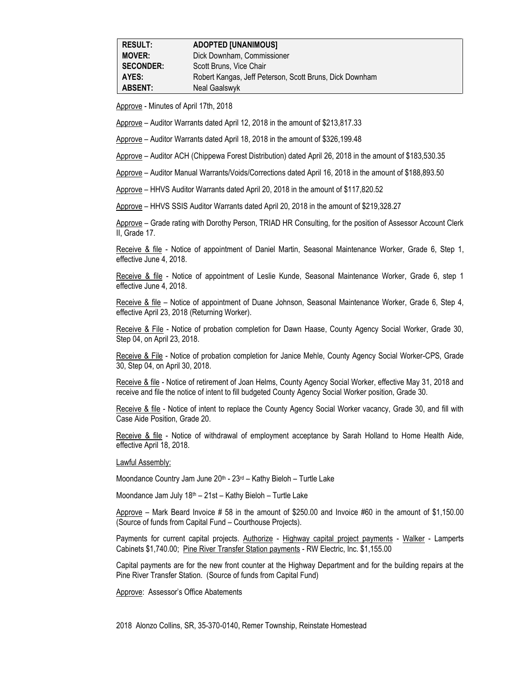| <b>RESULT:</b>   | <b>ADOPTED [UNANIMOUS]</b>                              |
|------------------|---------------------------------------------------------|
| <b>MOVER:</b>    | Dick Downham, Commissioner                              |
| <b>SECONDER:</b> | Scott Bruns, Vice Chair                                 |
| AYES:            | Robert Kangas, Jeff Peterson, Scott Bruns, Dick Downham |
| <b>ABSENT:</b>   | Neal Gaalswyk                                           |

Approve - Minutes of April 17th, 2018

Approve – Auditor Warrants dated April 12, 2018 in the amount of \$213,817.33

Approve – Auditor Warrants dated April 18, 2018 in the amount of \$326,199.48

Approve – Auditor ACH (Chippewa Forest Distribution) dated April 26, 2018 in the amount of \$183,530.35

Approve – Auditor Manual Warrants/Voids/Corrections dated April 16, 2018 in the amount of \$188,893.50

Approve – HHVS Auditor Warrants dated April 20, 2018 in the amount of \$117,820.52

Approve – HHVS SSIS Auditor Warrants dated April 20, 2018 in the amount of \$219,328.27

Approve – Grade rating with Dorothy Person, TRIAD HR Consulting, for the position of Assessor Account Clerk II, Grade 17.

Receive & file - Notice of appointment of Daniel Martin, Seasonal Maintenance Worker, Grade 6, Step 1, effective June 4, 2018.

Receive & file - Notice of appointment of Leslie Kunde, Seasonal Maintenance Worker, Grade 6, step 1 effective June 4, 2018.

Receive & file – Notice of appointment of Duane Johnson, Seasonal Maintenance Worker, Grade 6, Step 4, effective April 23, 2018 (Returning Worker).

Receive & File - Notice of probation completion for Dawn Haase, County Agency Social Worker, Grade 30, Step 04, on April 23, 2018.

Receive & File - Notice of probation completion for Janice Mehle, County Agency Social Worker-CPS, Grade 30, Step 04, on April 30, 2018.

Receive & file - Notice of retirement of Joan Helms, County Agency Social Worker, effective May 31, 2018 and receive and file the notice of intent to fill budgeted County Agency Social Worker position, Grade 30.

Receive & file - Notice of intent to replace the County Agency Social Worker vacancy, Grade 30, and fill with Case Aide Position, Grade 20.

Receive & file - Notice of withdrawal of employment acceptance by Sarah Holland to Home Health Aide, effective April 18, 2018.

Lawful Assembly:

Moondance Country Jam June 20<sup>th</sup> - 23<sup>rd</sup> – Kathy Bieloh – Turtle Lake

Moondance Jam July 18th – 21st – Kathy Bieloh – Turtle Lake

Approve – Mark Beard Invoice # 58 in the amount of \$250.00 and Invoice #60 in the amount of \$1,150.00 (Source of funds from Capital Fund – Courthouse Projects).

Payments for current capital projects. Authorize - Highway capital project payments - Walker - Lamperts Cabinets \$1,740.00; Pine River Transfer Station payments - RW Electric, Inc. \$1,155.00

Capital payments are for the new front counter at the Highway Department and for the building repairs at the Pine River Transfer Station. (Source of funds from Capital Fund)

Approve: Assessor's Office Abatements

2018 Alonzo Collins, SR, 35-370-0140, Remer Township, Reinstate Homestead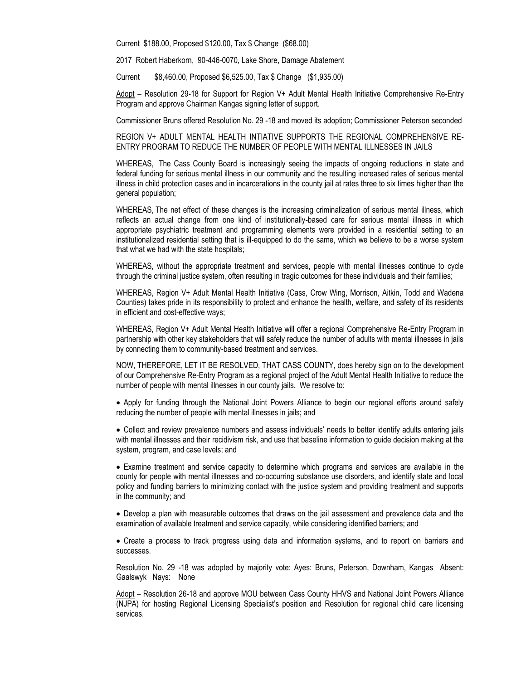Current \$188.00, Proposed \$120.00, Tax \$ Change (\$68.00)

2017 Robert Haberkorn, 90-446-0070, Lake Shore, Damage Abatement

Current \$8,460.00, Proposed \$6,525.00, Tax \$ Change (\$1,935.00)

Adopt – Resolution 29-18 for Support for Region V+ Adult Mental Health Initiative Comprehensive Re-Entry Program and approve Chairman Kangas signing letter of support.

Commissioner Bruns offered Resolution No. 29 -18 and moved its adoption; Commissioner Peterson seconded

REGION V+ ADULT MENTAL HEALTH INTIATIVE SUPPORTS THE REGIONAL COMPREHENSIVE RE-ENTRY PROGRAM TO REDUCE THE NUMBER OF PEOPLE WITH MENTAL ILLNESSES IN JAILS

WHEREAS, The Cass County Board is increasingly seeing the impacts of ongoing reductions in state and federal funding for serious mental illness in our community and the resulting increased rates of serious mental illness in child protection cases and in incarcerations in the county jail at rates three to six times higher than the general population;

WHEREAS, The net effect of these changes is the increasing criminalization of serious mental illness, which reflects an actual change from one kind of institutionally-based care for serious mental illness in which appropriate psychiatric treatment and programming elements were provided in a residential setting to an institutionalized residential setting that is ill-equipped to do the same, which we believe to be a worse system that what we had with the state hospitals;

WHEREAS, without the appropriate treatment and services, people with mental illnesses continue to cycle through the criminal justice system, often resulting in tragic outcomes for these individuals and their families;

WHEREAS, Region V+ Adult Mental Health Initiative (Cass, Crow Wing, Morrison, Aitkin, Todd and Wadena Counties) takes pride in its responsibility to protect and enhance the health, welfare, and safety of its residents in efficient and cost-effective ways;

WHEREAS, Region V+ Adult Mental Health Initiative will offer a regional Comprehensive Re-Entry Program in partnership with other key stakeholders that will safely reduce the number of adults with mental illnesses in jails by connecting them to community-based treatment and services.

NOW, THEREFORE, LET IT BE RESOLVED, THAT CASS COUNTY, does hereby sign on to the development of our Comprehensive Re-Entry Program as a regional project of the Adult Mental Health Initiative to reduce the number of people with mental illnesses in our county jails. We resolve to:

• Apply for funding through the National Joint Powers Alliance to begin our regional efforts around safely reducing the number of people with mental illnesses in jails; and

• Collect and review prevalence numbers and assess individuals' needs to better identify adults entering jails with mental illnesses and their recidivism risk, and use that baseline information to guide decision making at the system, program, and case levels; and

• Examine treatment and service capacity to determine which programs and services are available in the county for people with mental illnesses and co-occurring substance use disorders, and identify state and local policy and funding barriers to minimizing contact with the justice system and providing treatment and supports in the community; and

• Develop a plan with measurable outcomes that draws on the jail assessment and prevalence data and the examination of available treatment and service capacity, while considering identified barriers; and

• Create a process to track progress using data and information systems, and to report on barriers and successes.

Resolution No. 29 -18 was adopted by majority vote: Ayes: Bruns, Peterson, Downham, Kangas Absent: Gaalswyk Nays: None

Adopt – Resolution 26-18 and approve MOU between Cass County HHVS and National Joint Powers Alliance (NJPA) for hosting Regional Licensing Specialist's position and Resolution for regional child care licensing services.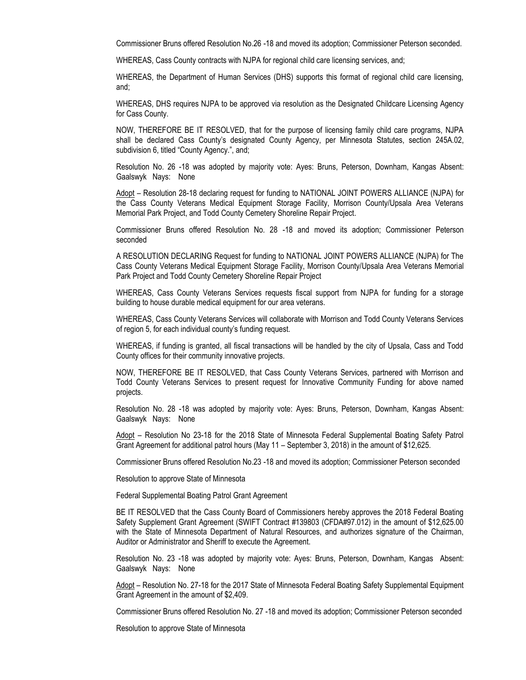Commissioner Bruns offered Resolution No.26 -18 and moved its adoption; Commissioner Peterson seconded.

WHEREAS, Cass County contracts with NJPA for regional child care licensing services, and;

WHEREAS, the Department of Human Services (DHS) supports this format of regional child care licensing, and;

WHEREAS, DHS requires NJPA to be approved via resolution as the Designated Childcare Licensing Agency for Cass County.

NOW, THEREFORE BE IT RESOLVED, that for the purpose of licensing family child care programs, NJPA shall be declared Cass County's designated County Agency, per Minnesota Statutes, section 245A.02, subdivision 6, titled "County Agency.", and;

Resolution No. 26 -18 was adopted by majority vote: Ayes: Bruns, Peterson, Downham, Kangas Absent: Gaalswyk Nays: None

Adopt – Resolution 28-18 declaring request for funding to NATIONAL JOINT POWERS ALLIANCE (NJPA) for the Cass County Veterans Medical Equipment Storage Facility, Morrison County/Upsala Area Veterans Memorial Park Project, and Todd County Cemetery Shoreline Repair Project.

Commissioner Bruns offered Resolution No. 28 -18 and moved its adoption; Commissioner Peterson seconded

A RESOLUTION DECLARING Request for funding to NATIONAL JOINT POWERS ALLIANCE (NJPA) for The Cass County Veterans Medical Equipment Storage Facility, Morrison County/Upsala Area Veterans Memorial Park Project and Todd County Cemetery Shoreline Repair Project

WHEREAS, Cass County Veterans Services requests fiscal support from NJPA for funding for a storage building to house durable medical equipment for our area veterans.

WHEREAS, Cass County Veterans Services will collaborate with Morrison and Todd County Veterans Services of region 5, for each individual county's funding request.

WHEREAS, if funding is granted, all fiscal transactions will be handled by the city of Upsala, Cass and Todd County offices for their community innovative projects.

NOW, THEREFORE BE IT RESOLVED, that Cass County Veterans Services, partnered with Morrison and Todd County Veterans Services to present request for Innovative Community Funding for above named projects.

Resolution No. 28 -18 was adopted by majority vote: Ayes: Bruns, Peterson, Downham, Kangas Absent: Gaalswyk Nays: None

Adopt – Resolution No 23-18 for the 2018 State of Minnesota Federal Supplemental Boating Safety Patrol Grant Agreement for additional patrol hours (May 11 – September 3, 2018) in the amount of \$12,625.

Commissioner Bruns offered Resolution No.23 -18 and moved its adoption; Commissioner Peterson seconded

Resolution to approve State of Minnesota

Federal Supplemental Boating Patrol Grant Agreement

BE IT RESOLVED that the Cass County Board of Commissioners hereby approves the 2018 Federal Boating Safety Supplement Grant Agreement (SWIFT Contract #139803 (CFDA#97.012) in the amount of \$12,625.00 with the State of Minnesota Department of Natural Resources, and authorizes signature of the Chairman, Auditor or Administrator and Sheriff to execute the Agreement.

Resolution No. 23 -18 was adopted by majority vote: Ayes: Bruns, Peterson, Downham, Kangas Absent: Gaalswyk Nays: None

Adopt – Resolution No. 27-18 for the 2017 State of Minnesota Federal Boating Safety Supplemental Equipment Grant Agreement in the amount of \$2,409.

Commissioner Bruns offered Resolution No. 27 -18 and moved its adoption; Commissioner Peterson seconded

Resolution to approve State of Minnesota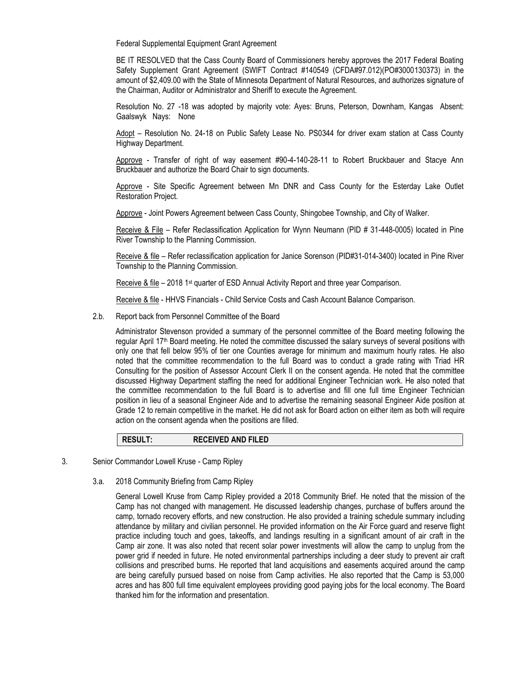Federal Supplemental Equipment Grant Agreement

BE IT RESOLVED that the Cass County Board of Commissioners hereby approves the 2017 Federal Boating Safety Supplement Grant Agreement (SWIFT Contract #140549 (CFDA#97.012)(PO#3000130373) in the amount of \$2,409.00 with the State of Minnesota Department of Natural Resources, and authorizes signature of the Chairman, Auditor or Administrator and Sheriff to execute the Agreement.

Resolution No. 27 -18 was adopted by majority vote: Ayes: Bruns, Peterson, Downham, Kangas Absent: Gaalswyk Nays: None

Adopt – Resolution No. 24-18 on Public Safety Lease No. PS0344 for driver exam station at Cass County Highway Department.

Approve - Transfer of right of way easement #90-4-140-28-11 to Robert Bruckbauer and Stacye Ann Bruckbauer and authorize the Board Chair to sign documents.

Approve - Site Specific Agreement between Mn DNR and Cass County for the Esterday Lake Outlet Restoration Project.

Approve - Joint Powers Agreement between Cass County, Shingobee Township, and City of Walker.

Receive & File – Refer Reclassification Application for Wynn Neumann (PID # 31-448-0005) located in Pine River Township to the Planning Commission.

Receive & file – Refer reclassification application for Janice Sorenson (PID#31-014-3400) located in Pine River Township to the Planning Commission.

Receive & file – 2018 1<sup>st</sup> quarter of ESD Annual Activity Report and three year Comparison.

Receive & file - HHVS Financials - Child Service Costs and Cash Account Balance Comparison.

2.b. Report back from Personnel Committee of the Board

Administrator Stevenson provided a summary of the personnel committee of the Board meeting following the regular April 17<sup>th</sup> Board meeting. He noted the committee discussed the salary surveys of several positions with only one that fell below 95% of tier one Counties average for minimum and maximum hourly rates. He also noted that the committee recommendation to the full Board was to conduct a grade rating with Triad HR Consulting for the position of Assessor Account Clerk II on the consent agenda. He noted that the committee discussed Highway Department staffing the need for additional Engineer Technician work. He also noted that the committee recommendation to the full Board is to advertise and fill one full time Engineer Technician position in lieu of a seasonal Engineer Aide and to advertise the remaining seasonal Engineer Aide position at Grade 12 to remain competitive in the market. He did not ask for Board action on either item as both will require action on the consent agenda when the positions are filled.

**RESULT: RECEIVED AND FILED**

- 3. Senior Commandor Lowell Kruse Camp Ripley
	- 3.a. 2018 Community Briefing from Camp Ripley

General Lowell Kruse from Camp Ripley provided a 2018 Community Brief. He noted that the mission of the Camp has not changed with management. He discussed leadership changes, purchase of buffers around the camp, tornado recovery efforts, and new construction. He also provided a training schedule summary including attendance by military and civilian personnel. He provided information on the Air Force guard and reserve flight practice including touch and goes, takeoffs, and landings resulting in a significant amount of air craft in the Camp air zone. It was also noted that recent solar power investments will allow the camp to unplug from the power grid if needed in future. He noted environmental partnerships including a deer study to prevent air craft collisions and prescribed burns. He reported that land acquisitions and easements acquired around the camp are being carefully pursued based on noise from Camp activities. He also reported that the Camp is 53,000 acres and has 800 full time equivalent employees providing good paying jobs for the local economy. The Board thanked him for the information and presentation.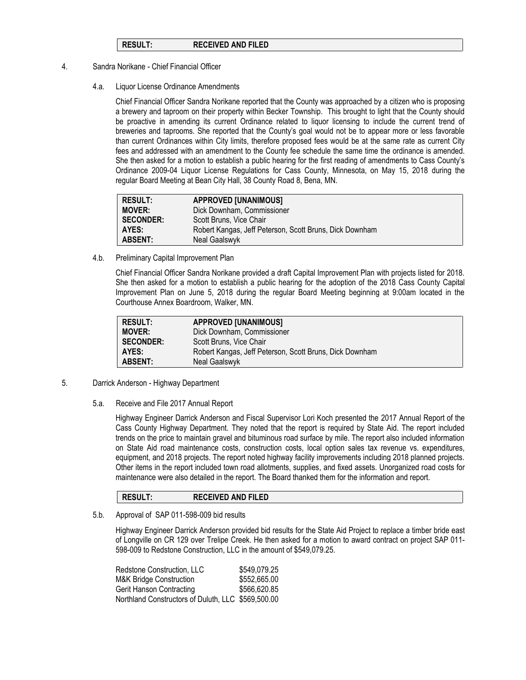### **RESULT: RECEIVED AND FILED**

- 4. Sandra Norikane Chief Financial Officer
	- 4.a. Liquor License Ordinance Amendments

Chief Financial Officer Sandra Norikane reported that the County was approached by a citizen who is proposing a brewery and taproom on their property within Becker Township. This brought to light that the County should be proactive in amending its current Ordinance related to liquor licensing to include the current trend of breweries and taprooms. She reported that the County's goal would not be to appear more or less favorable than current Ordinances within City limits, therefore proposed fees would be at the same rate as current City fees and addressed with an amendment to the County fee schedule the same time the ordinance is amended. She then asked for a motion to establish a public hearing for the first reading of amendments to Cass County's Ordinance 2009-04 Liquor License Regulations for Cass County, Minnesota, on May 15, 2018 during the regular Board Meeting at Bean City Hall, 38 County Road 8, Bena, MN.

| <b>RESULT:</b>   | <b>APPROVED [UNANIMOUS]</b>                             |
|------------------|---------------------------------------------------------|
| <b>MOVER:</b>    | Dick Downham, Commissioner                              |
| <b>SECONDER:</b> | Scott Bruns, Vice Chair                                 |
| AYES:            | Robert Kangas, Jeff Peterson, Scott Bruns, Dick Downham |
| <b>ABSENT:</b>   | Neal Gaalswyk                                           |

4.b. Preliminary Capital Improvement Plan

Chief Financial Officer Sandra Norikane provided a draft Capital Improvement Plan with projects listed for 2018. She then asked for a motion to establish a public hearing for the adoption of the 2018 Cass County Capital Improvement Plan on June 5, 2018 during the regular Board Meeting beginning at 9:00am located in the Courthouse Annex Boardroom, Walker, MN.

| <b>RESULT:</b>   | <b>APPROVED [UNANIMOUS]</b>                             |
|------------------|---------------------------------------------------------|
| <b>MOVER:</b>    | Dick Downham, Commissioner                              |
| <b>SECONDER:</b> | Scott Bruns, Vice Chair                                 |
| AYES:            | Robert Kangas, Jeff Peterson, Scott Bruns, Dick Downham |
| <b>ABSENT:</b>   | Neal Gaalswyk                                           |

- 5. Darrick Anderson Highway Department
	- 5.a. Receive and File 2017 Annual Report

Highway Engineer Darrick Anderson and Fiscal Supervisor Lori Koch presented the 2017 Annual Report of the Cass County Highway Department. They noted that the report is required by State Aid. The report included trends on the price to maintain gravel and bituminous road surface by mile. The report also included information on State Aid road maintenance costs, construction costs, local option sales tax revenue vs. expenditures, equipment, and 2018 projects. The report noted highway facility improvements including 2018 planned projects. Other items in the report included town road allotments, supplies, and fixed assets. Unorganized road costs for maintenance were also detailed in the report. The Board thanked them for the information and report.

# **RESULT: RECEIVED AND FILED**

5.b. Approval of SAP 011-598-009 bid results

Highway Engineer Darrick Anderson provided bid results for the State Aid Project to replace a timber bride east of Longville on CR 129 over Trelipe Creek. He then asked for a motion to award contract on project SAP 011- 598-009 to Redstone Construction, LLC in the amount of \$549,079.25.

| Redstone Construction. LLC                         | \$549,079.25 |
|----------------------------------------------------|--------------|
| M&K Bridge Construction                            | \$552,665.00 |
| Gerit Hanson Contracting                           | \$566,620.85 |
| Northland Constructors of Duluth, LLC \$569,500.00 |              |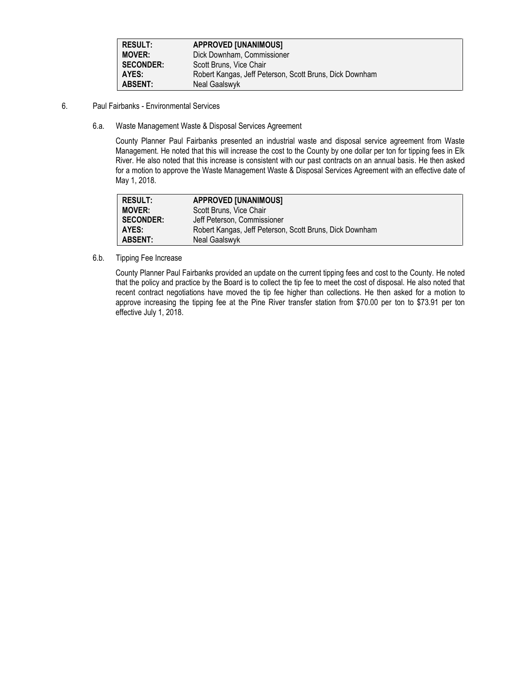| <b>RESULT:</b>   | <b>APPROVED [UNANIMOUS]</b>                             |
|------------------|---------------------------------------------------------|
| <b>MOVER:</b>    | Dick Downham, Commissioner                              |
| <b>SECONDER:</b> | Scott Bruns, Vice Chair                                 |
| AYES:            | Robert Kangas, Jeff Peterson, Scott Bruns, Dick Downham |
| <b>ABSENT:</b>   | Neal Gaalswyk                                           |

- 6. Paul Fairbanks Environmental Services
	- 6.a. Waste Management Waste & Disposal Services Agreement

County Planner Paul Fairbanks presented an industrial waste and disposal service agreement from Waste Management. He noted that this will increase the cost to the County by one dollar per ton for tipping fees in Elk River. He also noted that this increase is consistent with our past contracts on an annual basis. He then asked for a motion to approve the Waste Management Waste & Disposal Services Agreement with an effective date of May 1, 2018.

| <b>RESULT:</b>   | <b>APPROVED [UNANIMOUS]</b>                             |
|------------------|---------------------------------------------------------|
| <b>MOVER:</b>    | Scott Bruns, Vice Chair                                 |
| <b>SECONDER:</b> | Jeff Peterson, Commissioner                             |
| AYES:            | Robert Kangas, Jeff Peterson, Scott Bruns, Dick Downham |
| <b>ABSENT:</b>   | Neal Gaalswyk                                           |

6.b. Tipping Fee Increase

County Planner Paul Fairbanks provided an update on the current tipping fees and cost to the County. He noted that the policy and practice by the Board is to collect the tip fee to meet the cost of disposal. He also noted that recent contract negotiations have moved the tip fee higher than collections. He then asked for a motion to approve increasing the tipping fee at the Pine River transfer station from \$70.00 per ton to \$73.91 per ton effective July 1, 2018.